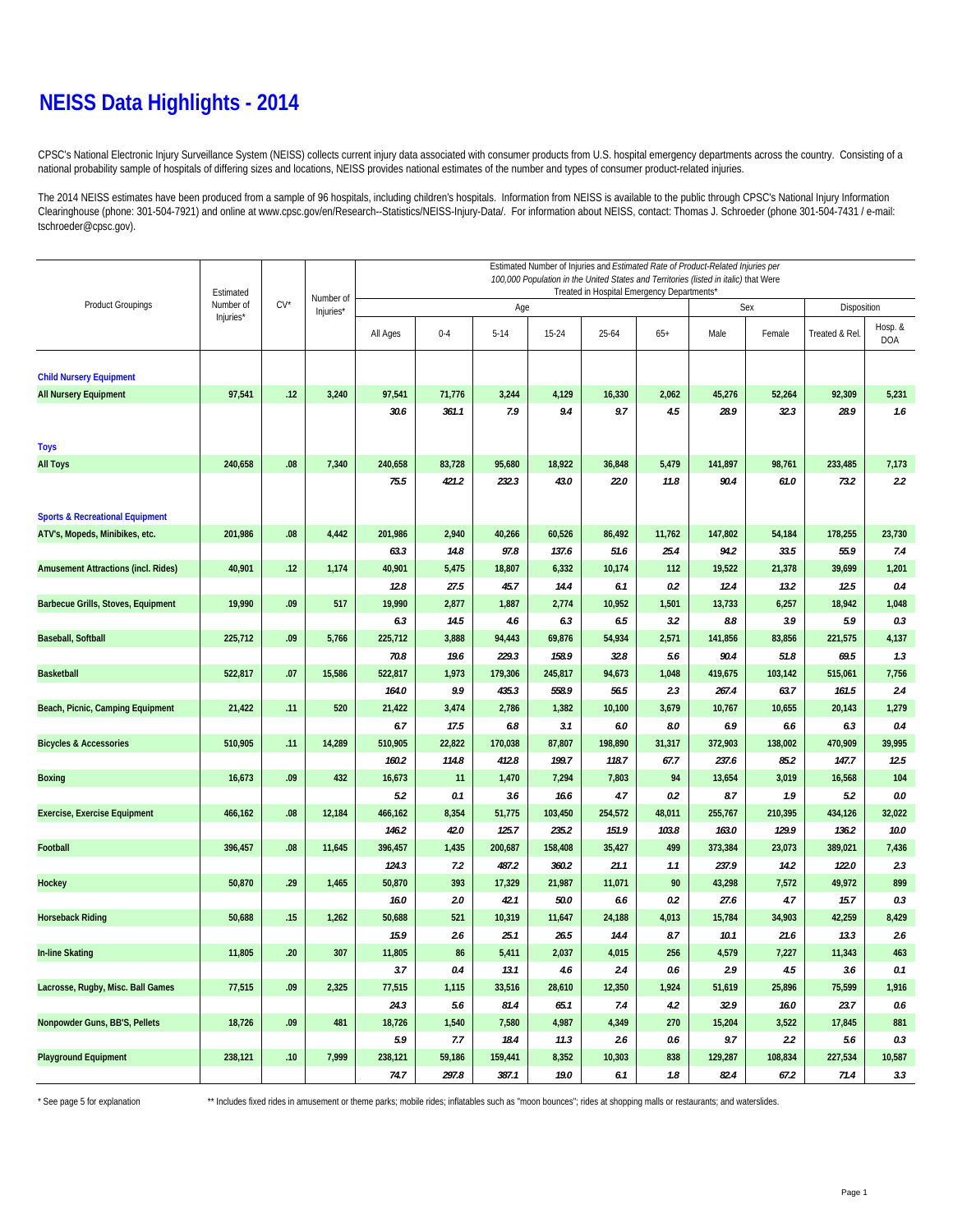### **NEISS Data Highlights - 2014**

CPSC's National Electronic Injury Surveillance System (NEISS) collects current injury data associated with consumer products from U.S. hospital emergency departments across the country. Consisting of a national probability sample of hospitals of differing sizes and locations, NEISS provides national estimates of the number and types of consumer product-related injuries.

The 2014 NEISS estimates have been produced from a sample of 96 hospitals, including children's hospitals. Information from NEISS is available to the public through CPSC's National Injury Information Clearinghouse (phone: 301-504-7921) and online at www.cpsc.gov/en/Research--Statistics/NEISS-Injury-Data/. For information about NEISS, contact: Thomas J. Schroeder (phone 301-504-7431 / e-mail: tschroeder@cpsc.gov).

|                                            | Estimated |        | Number of<br>Injuries* | Estimated Number of Injuries and Estimated Rate of Product-Related Injuries per<br>100,000 Population in the United States and Territories (listed in italic) that Were<br>Treated in Hospital Emergency Departments* |               |                |                 |               |               |                |                |                |                       |  |  |
|--------------------------------------------|-----------|--------|------------------------|-----------------------------------------------------------------------------------------------------------------------------------------------------------------------------------------------------------------------|---------------|----------------|-----------------|---------------|---------------|----------------|----------------|----------------|-----------------------|--|--|
| <b>Product Groupings</b>                   | Number of | $CV^*$ |                        |                                                                                                                                                                                                                       |               | Age            |                 |               | Sex           | Disposition    |                |                |                       |  |  |
|                                            | Injuries* |        |                        | All Ages                                                                                                                                                                                                              | $0 - 4$       | $5-14$         | 15-24           | 25-64         | $65+$         | Male           | Female         | Treated & Rel. | Hosp. &<br><b>DOA</b> |  |  |
| <b>Child Nursery Equipment</b>             |           |        |                        |                                                                                                                                                                                                                       |               |                |                 |               |               |                |                |                |                       |  |  |
| <b>All Nursery Equipment</b>               | 97,541    | .12    | 3,240                  | 97,541                                                                                                                                                                                                                | 71,776        | 3,244          | 4,129           | 16,330        | 2,062         | 45,276         | 52,264         | 92,309         | 5,231                 |  |  |
|                                            |           |        |                        | 30.6                                                                                                                                                                                                                  | 361.1         | 7.9            | 9.4             | 9.7           | 4.5           | 28.9           | 32.3           | 28.9           | 1.6                   |  |  |
| <b>Toys</b>                                |           |        |                        |                                                                                                                                                                                                                       |               |                |                 |               |               |                |                |                |                       |  |  |
| <b>All Toys</b>                            | 240,658   | .08    | 7,340                  | 240,658                                                                                                                                                                                                               | 83,728        | 95,680         | 18,922          | 36,848        | 5,479         | 141,897        | 98,761         | 233,485        | 7,173                 |  |  |
|                                            |           |        |                        | 75.5                                                                                                                                                                                                                  | 421.2         | 232.3          | 43.0            | 22.0          | 11.8          | 90.4           | 61.0           | 73.2           | 2.2                   |  |  |
| <b>Sports &amp; Recreational Equipment</b> |           |        |                        |                                                                                                                                                                                                                       |               |                |                 |               |               |                |                |                |                       |  |  |
| ATV's, Mopeds, Minibikes, etc.             | 201,986   | .08    | 4,442                  | 201,986                                                                                                                                                                                                               | 2,940         | 40,266         | 60,526          | 86,492        | 11,762        | 147,802        | 54,184         | 178,255        | 23,730                |  |  |
|                                            |           |        |                        | 63.3                                                                                                                                                                                                                  | 14.8          | 97.8           | 137.6           | 51.6          | 25.4          | 94.2           | 33.5           | 55.9           | 7.4                   |  |  |
| <b>Amusement Attractions (incl. Rides)</b> | 40,901    | .12    | 1,174                  | 40,901<br>12.8                                                                                                                                                                                                        | 5,475<br>27.5 | 18,807<br>45.7 | 6,332<br>14.4   | 10,174<br>6.1 | 112<br>0.2    | 19,522<br>12.4 | 21,378<br>13.2 | 39,699<br>12.5 | 1,201<br>0.4          |  |  |
| Barbecue Grills, Stoves, Equipment         | 19,990    | .09    | 517                    | 19,990                                                                                                                                                                                                                | 2,877         | 1,887          | 2,774           | 10,952        | 1,501         | 13,733         | 6,257          | 18,942         | 1,048                 |  |  |
|                                            |           |        |                        | 6.3                                                                                                                                                                                                                   | 14.5          | 4.6            | 6.3             | 6.5           | 3.2           | $\it 8.8$      | 3.9            | 5.9            | 0.3                   |  |  |
| <b>Baseball, Softball</b>                  | 225,712   | .09    | 5,766                  | 225,712                                                                                                                                                                                                               | 3,888         | 94,443         | 69,876          | 54,934        | 2,571         | 141,856        | 83,856         | 221,575        | 4,137                 |  |  |
|                                            |           |        |                        | 70.8                                                                                                                                                                                                                  | 19.6          | 229.3          | 158.9           | 32.8          | 5.6           | 90.4           | 51.8           | 69.5           | 1.3                   |  |  |
| <b>Basketball</b>                          | 522,817   | .07    | 15,586                 | 522,817                                                                                                                                                                                                               | 1,973         | 179,306        | 245,817         | 94,673        | 1,048         | 419,675        | 103,142        | 515,061        | 7,756                 |  |  |
|                                            |           |        |                        | 164.0                                                                                                                                                                                                                 | 9.9           | 435.3          | 558.9           | 56.5          | 2.3           | 267.4          | 63.7           | 161.5          | 2.4                   |  |  |
| Beach, Picnic, Camping Equipment           | 21,422    | .11    | 520                    | 21,422                                                                                                                                                                                                                | 3,474         | 2,786          | 1,382           | 10,100        | 3,679         | 10,767         | 10,655         | 20,143         | 1,279                 |  |  |
|                                            |           |        |                        | 6.7                                                                                                                                                                                                                   | 17.5          | 6.8            | 3.1             | 6.0           | 8.0           | 6.9            | 6.6            | 6.3            | 0.4                   |  |  |
| <b>Bicycles &amp; Accessories</b>          | 510,905   | .11    | 14,289                 | 510,905                                                                                                                                                                                                               | 22,822        | 170,038        | 87,807          | 198,890       | 31,317        | 372,903        | 138,002        | 470,909        | 39,995                |  |  |
|                                            |           |        |                        | 160.2                                                                                                                                                                                                                 | 114.8         | 412.8          | 199.7           | 118.7         | 67.7          | 237.6          | 85.2           | 147.7          | 12.5                  |  |  |
| <b>Boxing</b>                              | 16,673    | .09    | 432                    | 16,673<br>5.2                                                                                                                                                                                                         | 11<br>0.1     | 1,470          | 7,294           | 7,803<br>4.7  | 94            | 13,654<br>8.7  | 3,019<br>1.9   | 16,568<br>5.2  | 104<br>$0.0\,$        |  |  |
| <b>Exercise, Exercise Equipment</b>        | 466,162   | .08    | 12,184                 | 466,162                                                                                                                                                                                                               | 8,354         | 3.6<br>51,775  | 16.6<br>103,450 | 254,572       | 0.2<br>48,011 | 255,767        | 210,395        | 434,126        | 32,022                |  |  |
|                                            |           |        |                        | 146.2                                                                                                                                                                                                                 | 42.0          | 125.7          | 235.2           | 151.9         | 103.8         | 163.0          | 129.9          | 136.2          | 10.0                  |  |  |
| Football                                   | 396,457   | .08    | 11,645                 | 396,457                                                                                                                                                                                                               | 1,435         | 200,687        | 158,408         | 35,427        | 499           | 373,384        | 23,073         | 389,021        | 7,436                 |  |  |
|                                            |           |        |                        | 124.3                                                                                                                                                                                                                 | 7.2           | 487.2          | 360.2           | 21.1          | 1.1           | 237.9          | 14.2           | 122.0          | 2.3                   |  |  |
| <b>Hockey</b>                              | 50,870    | .29    | 1,465                  | 50,870                                                                                                                                                                                                                | 393           | 17,329         | 21,987          | 11,071        | 90            | 43,298         | 7,572          | 49,972         | 899                   |  |  |
|                                            |           |        |                        | 16.0                                                                                                                                                                                                                  | 2.0           | 42.1           | 50.0            | 6.6           | 0.2           | 27.6           | 4.7            | 15.7           | 0.3                   |  |  |
| <b>Horseback Riding</b>                    | 50,688    | .15    | 1,262                  | 50,688                                                                                                                                                                                                                | 521           | 10,319         | 11,647          | 24,188        | 4,013         | 15,784         | 34,903         | 42,259         | 8,429                 |  |  |
|                                            |           |        |                        | 15.9                                                                                                                                                                                                                  | 2.6           | 25.1           | 26.5            | 14.4          | 8.7           | 10.1           | 21.6           | 13.3           | 2.6                   |  |  |
| <b>In-line Skating</b>                     | 11,805    | .20    | 307                    | 11,805                                                                                                                                                                                                                | 86            | 5,411          | 2,037           | 4,015         | 256           | 4,579          | 7,227          | 11,343         | 463                   |  |  |
|                                            |           |        |                        | 3.7                                                                                                                                                                                                                   | 0.4           | 13.1           | 4.6             | 2.4           | 0.6           | 2.9            | 4.5            | 3.6            | 0.1                   |  |  |
| Lacrosse, Rugby, Misc. Ball Games          | 77,515    | .09    | 2,325                  | 77,515<br>24.3                                                                                                                                                                                                        | 1,115<br>5.6  | 33,516<br>81.4 | 28,610<br>65.1  | 12,350<br>7.4 | 1,924<br>4.2  | 51,619<br>32.9 | 25,896<br>16.0 | 75,599<br>23.7 | 1,916<br>0.6          |  |  |
| Nonpowder Guns, BB'S, Pellets              | 18,726    | .09    | 481                    | 18,726                                                                                                                                                                                                                | 1,540         | 7,580          | 4,987           | 4,349         | 270           | 15,204         | 3,522          | 17,845         | 881                   |  |  |
|                                            |           |        |                        | 5.9                                                                                                                                                                                                                   | 7.7           | 18.4           | 11.3            | 2.6           | 0.6           | 9.7            | 2.2            | 5.6            | 0.3                   |  |  |
| <b>Playground Equipment</b>                | 238,121   | .10    | 7,999                  | 238,121                                                                                                                                                                                                               | 59,186        | 159,441        | 8,352           | 10,303        | 838           | 129,287        | 108,834        | 227,534        | 10,587                |  |  |
|                                            |           |        |                        | 74.7                                                                                                                                                                                                                  | 297.8         | 387.1          | 19.0            | 6.1           | 1.8           | 82.4           | 67.2           | 71.4           | 3.3                   |  |  |

\* See page 5 for explanation \*\* Includes fixed rides in amusement or theme parks; mobile rides; inflatables such as "moon bounces"; rides at shopping malls or restaurants; and waterslides.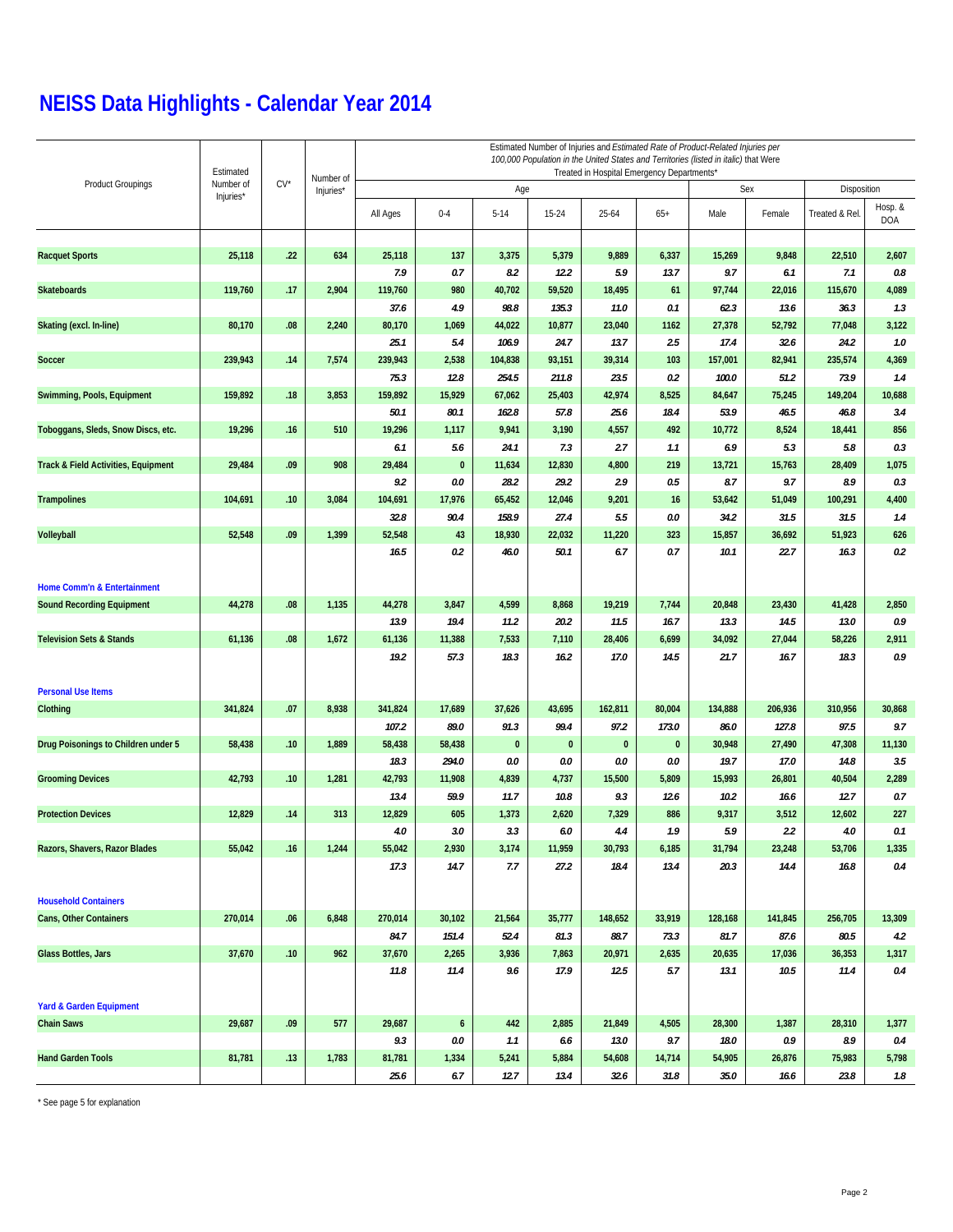|                                     | Estimated |        |                        | Estimated Number of Injuries and Estimated Rate of Product-Related Injuries per<br>100,000 Population in the United States and Territories (listed in italic) that Were<br>Treated in Hospital Emergency Departments* |                |                 |                |                 |                 |                 |                  |                 |                       |  |  |
|-------------------------------------|-----------|--------|------------------------|-----------------------------------------------------------------------------------------------------------------------------------------------------------------------------------------------------------------------|----------------|-----------------|----------------|-----------------|-----------------|-----------------|------------------|-----------------|-----------------------|--|--|
| <b>Product Groupings</b>            | Number of | $CV^*$ | Number of<br>Injuries* |                                                                                                                                                                                                                       |                | Age             |                |                 |                 | Sex             | Disposition      |                 |                       |  |  |
|                                     | Injuries* |        |                        | All Ages                                                                                                                                                                                                              | $0 - 4$        | $5 - 14$        | $15 - 24$      | $25 - 64$       | $65+$           | Male            | Female           | Treated & Rel   | Hosp. &<br><b>DOA</b> |  |  |
|                                     |           |        |                        |                                                                                                                                                                                                                       |                |                 |                |                 |                 |                 |                  |                 |                       |  |  |
| <b>Racquet Sports</b>               | 25,118    | .22    | 634                    | 25,118<br>7.9                                                                                                                                                                                                         | 137<br>0.7     | 3,375<br>8.2    | 5,379<br>12.2  | 9,889<br>5.9    | 6,337<br>13.7   | 15,269<br>9.7   | 9,848<br>6.1     | 22,510<br>7.1   | 2,607<br>0.8          |  |  |
| <b>Skateboards</b>                  | 119,760   | .17    | 2,904                  | 119,760                                                                                                                                                                                                               | 980            | 40,702          | 59,520         | 18,495          | 61              | 97,744          | 22,016           | 115,670         | 4,089                 |  |  |
|                                     |           |        |                        | 37.6                                                                                                                                                                                                                  | 4.9            | 98.8            | 135.3          | 11.0            | 0.1             | 62.3            | 13.6             | 36.3            | 1.3                   |  |  |
| Skating (excl. In-line)             | 80,170    | .08    | 2,240                  | 80,170                                                                                                                                                                                                                | 1,069          | 44,022          | 10,877         | 23,040          | 1162            | 27,378          | 52,792           | 77,048          | 3,122                 |  |  |
|                                     |           |        |                        | 25.1                                                                                                                                                                                                                  | 5.4            | 106.9           | 24.7           | 13.7            | 2.5             | 17.4            | 32.6             | 24.2            | 1.0                   |  |  |
| <b>Soccer</b>                       | 239,943   | .14    | 7,574                  | 239,943                                                                                                                                                                                                               | 2,538          | 104,838         | 93,151         | 39,314          | 103             | 157,001         | 82,941           | 235,574         | 4,369                 |  |  |
|                                     |           |        |                        | 75.3                                                                                                                                                                                                                  | 12.8           | 254.5           | 211.8          | 23.5            | 0.2             | 100.0           | 51.2             | 73.9            | 1.4                   |  |  |
| Swimming, Pools, Equipment          | 159,892   | .18    | 3,853                  | 159,892                                                                                                                                                                                                               | 15,929         | 67,062          | 25,403         | 42,974          | 8,525           | 84,647          | 75,245           | 149,204         | 10,688                |  |  |
|                                     |           |        |                        | 50.1                                                                                                                                                                                                                  | 80.1           | 162.8           | 57.8           | 25.6            | 18.4            | 53.9            | 46.5             | 46.8            | 3.4                   |  |  |
| Toboggans, Sleds, Snow Discs, etc.  | 19,296    | .16    | 510                    | 19,296                                                                                                                                                                                                                | 1,117          | 9,941           | 3,190          | 4,557           | 492             | 10,772          | 8,524            | 18,441          | 856                   |  |  |
|                                     |           |        |                        | 6.1                                                                                                                                                                                                                   | 5.6            | 24.1            | 7.3            | 2.7             | 1.1             | 6.9             | 5.3              | 5.8             | 0.3                   |  |  |
| Track & Field Activities, Equipment | 29,484    | .09    | 908                    | 29,484                                                                                                                                                                                                                | $\pmb{0}$      | 11,634          | 12,830         | 4,800           | 219             | 13,721          | 15,763           | 28,409          | 1,075                 |  |  |
|                                     |           |        |                        | 9.2                                                                                                                                                                                                                   | 0.0            | 28.2            | 29.2           | 2.9             | 0.5             | 8.7             | 9.7              | 8.9             | 0.3                   |  |  |
| <b>Trampolines</b>                  | 104,691   | .10    | 3,084                  | 104,691<br>32.8                                                                                                                                                                                                       | 17,976<br>90.4 | 65,452<br>158.9 | 12,046<br>27.4 | 9,201<br>5.5    | 16<br>0.0       | 53,642<br>34.2  | 51,049<br>31.5   | 100,291<br>31.5 | 4,400<br>1.4          |  |  |
| <b>Volleyball</b>                   | 52,548    | .09    | 1,399                  | 52,548                                                                                                                                                                                                                | 43             | 18,930          | 22,032         | 11,220          | 323             | 15,857          | 36,692           | 51,923          | 626                   |  |  |
|                                     |           |        |                        | 16.5                                                                                                                                                                                                                  | 0.2            | 46.0            | 50.1           | 6.7             | 0.7             | 10.1            | 22.7             | 16.3            | 0.2                   |  |  |
|                                     |           |        |                        |                                                                                                                                                                                                                       |                |                 |                |                 |                 |                 |                  |                 |                       |  |  |
| Home Comm'n & Entertainment         |           |        |                        |                                                                                                                                                                                                                       |                |                 |                |                 |                 |                 |                  |                 |                       |  |  |
| <b>Sound Recording Equipment</b>    | 44,278    | .08    | 1,135                  | 44,278                                                                                                                                                                                                                | 3,847          | 4,599           | 8,868          | 19,219          | 7,744           | 20,848          | 23,430           | 41,428          | 2,850                 |  |  |
|                                     |           |        |                        | 13.9                                                                                                                                                                                                                  | 19.4           | 11.2            | 20.2           | 11.5            | 16.7            | 13.3            | 14.5             | 13.0            | 0.9                   |  |  |
| <b>Television Sets &amp; Stands</b> | 61,136    | .08    | 1,672                  | 61,136                                                                                                                                                                                                                | 11,388         | 7,533           | 7,110          | 28,406          | 6,699           | 34,092          | 27,044           | 58,226          | 2,911                 |  |  |
|                                     |           |        |                        | 19.2                                                                                                                                                                                                                  | 57.3           | 18.3            | 16.2           | 17.0            | 14.5            | 21.7            | 16.7             | 18.3            | 0.9                   |  |  |
| <b>Personal Use Items</b>           |           |        |                        |                                                                                                                                                                                                                       |                |                 |                |                 |                 |                 |                  |                 |                       |  |  |
| Clothing                            | 341,824   | .07    | 8,938                  | 341,824<br>107.2                                                                                                                                                                                                      | 17,689<br>89.0 | 37,626<br>91.3  | 43,695<br>99.4 | 162,811<br>97.2 | 80,004<br>173.0 | 134,888<br>86.0 | 206,936<br>127.8 | 310,956<br>97.5 | 30,868<br>9.7         |  |  |
| Drug Poisonings to Children under 5 | 58,438    | .10    | 1,889                  | 58,438                                                                                                                                                                                                                | 58,438         | $\bf{0}$        | $\bf{0}$       | $\bf{0}$        | $\bf{0}$        | 30,948          | 27,490           | 47,308          | 11,130                |  |  |
|                                     |           |        |                        | 18.3                                                                                                                                                                                                                  | 294.0          | 0.0             | 0.0            | 0.0             | 0.0             | 19.7            | 17.0             | 14.8            | 3.5                   |  |  |
| <b>Grooming Devices</b>             | 42,793    | .10    | 1,281                  | 42,793                                                                                                                                                                                                                | 11,908         | 4,839           | 4,737          | 15,500          | 5,809           | 15,993          | 26,801           | 40,504          | 2,289                 |  |  |
|                                     |           |        |                        | 13.4                                                                                                                                                                                                                  | 59.9           | 11.7            | 10.8           | 9.3             | 12.6            | 10.2            | 16.6             | 12.7            | 0.7                   |  |  |
| <b>Protection Devices</b>           | 12,829    | .14    | 313                    | 12,829                                                                                                                                                                                                                | 605            | 1,373           | 2,620          | 7,329           | 886             | 9,317           | 3,512            | 12,602          | 227                   |  |  |
|                                     |           |        |                        | $4.0\,$                                                                                                                                                                                                               | $3.0\,$        | $3.3\,$         | $6.0$          | 4.4             | 1.9             | $5.9$           | 2.2              | $4.0\,$         | 0.1                   |  |  |
| Razors, Shavers, Razor Blades       | 55,042    | .16    | 1,244                  | 55,042                                                                                                                                                                                                                | 2,930          | 3,174           | 11,959         | 30,793          | 6,185           | 31,794          | 23,248           | 53,706          | 1,335                 |  |  |
|                                     |           |        |                        | 17.3                                                                                                                                                                                                                  | 14.7           | 7.7             | 27.2           | 18.4            | 13.4            | 20.3            | 14.4             | 16.8            | 0.4                   |  |  |
| <b>Household Containers</b>         |           |        |                        |                                                                                                                                                                                                                       |                |                 |                |                 |                 |                 |                  |                 |                       |  |  |
| Cans, Other Containers              | 270,014   | .06    | 6,848                  | 270,014                                                                                                                                                                                                               | 30,102         | 21,564          | 35,777         | 148,652         | 33,919          | 128,168         | 141,845          | 256,705         | 13,309                |  |  |
|                                     |           |        |                        | 84.7                                                                                                                                                                                                                  | 151.4          | 52.4            | 81.3           | 88.7            | 73.3            | 81.7            | 87.6             | 80.5            | 4.2                   |  |  |
| Glass Bottles, Jars                 | 37,670    | .10    | 962                    | 37,670                                                                                                                                                                                                                | 2,265          | 3,936           | 7,863          | 20,971          | 2,635           | 20,635          | 17,036           | 36,353          | 1,317                 |  |  |
|                                     |           |        |                        | 11.8                                                                                                                                                                                                                  | 11.4           | 9.6             | 17.9           | 12.5            | 5.7             | 13.1            | 10.5             | 11.4            | 0.4                   |  |  |
| Yard & Garden Equipment             |           |        |                        |                                                                                                                                                                                                                       |                |                 |                |                 |                 |                 |                  |                 |                       |  |  |
| <b>Chain Saws</b>                   | 29,687    | .09    | 577                    | 29,687                                                                                                                                                                                                                | 6              | 442             | 2,885          | 21,849          | 4,505           | 28,300          | 1,387            | 28,310          | 1,377                 |  |  |
|                                     |           |        |                        | 9.3                                                                                                                                                                                                                   | 0.0            | 1.1             | 6.6            | 13.0            | 9.7             | 18.0            | 0.9              | 8.9             | 0.4                   |  |  |
| <b>Hand Garden Tools</b>            | 81,781    | .13    | 1,783                  | 81,781<br>25.6                                                                                                                                                                                                        | 1,334<br>6.7   | 5,241<br>12.7   | 5,884<br>13.4  | 54,608<br>32.6  | 14,714<br>31.8  | 54,905<br>35.0  | 26,876<br>16.6   | 75,983<br>23.8  | 5,798<br>1.8          |  |  |
|                                     |           |        |                        |                                                                                                                                                                                                                       |                |                 |                |                 |                 |                 |                  |                 |                       |  |  |

\* See page 5 for explanation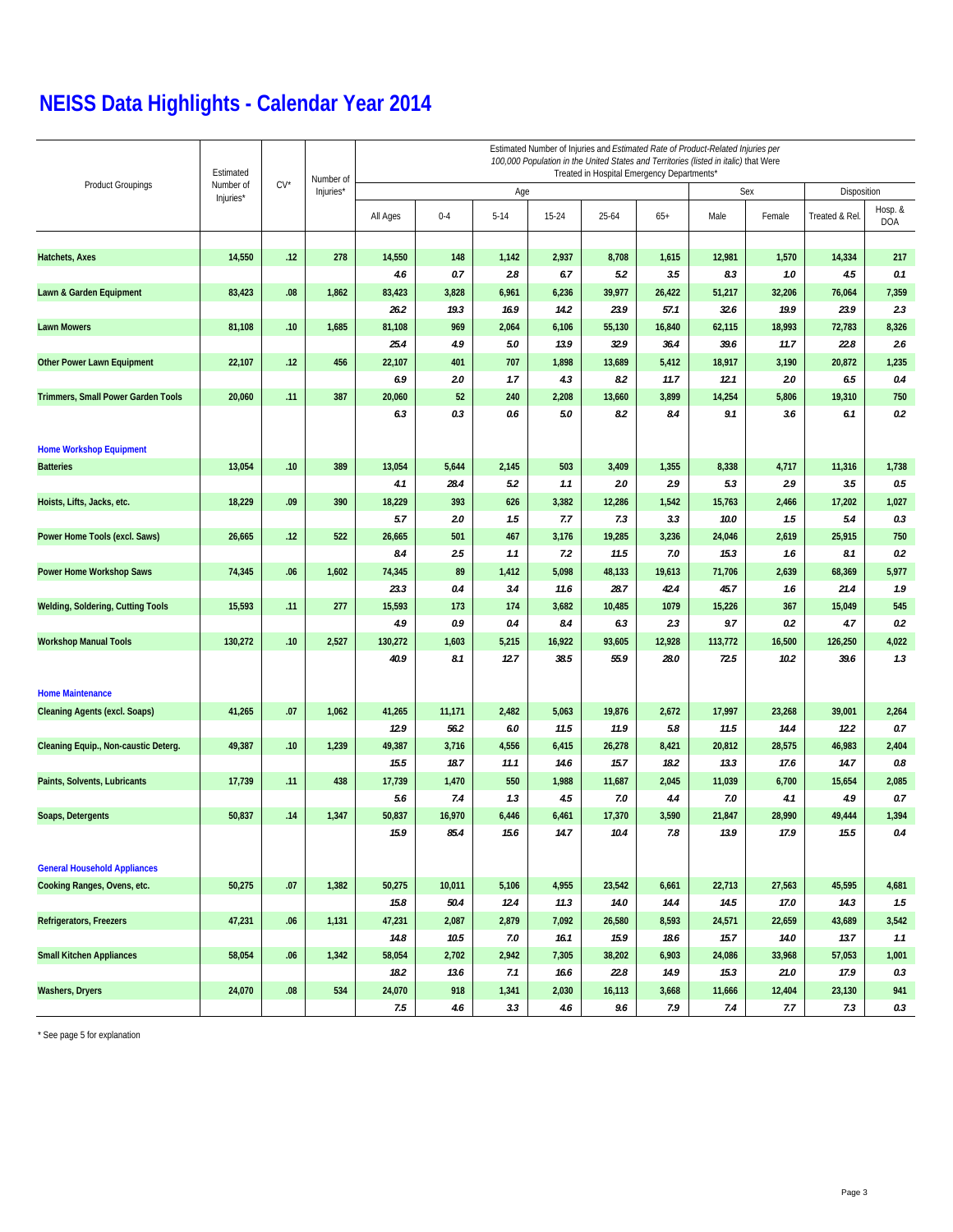|                                          | Estimated |        | Number of | Estimated Number of Injuries and Estimated Rate of Product-Related Injuries per<br>100,000 Population in the United States and Territories (listed in italic) that Were<br>Treated in Hospital Emergency Departments* |         |        |           |           |        |         |        |                |                       |  |  |
|------------------------------------------|-----------|--------|-----------|-----------------------------------------------------------------------------------------------------------------------------------------------------------------------------------------------------------------------|---------|--------|-----------|-----------|--------|---------|--------|----------------|-----------------------|--|--|
| <b>Product Groupings</b>                 | Number of | $CV^*$ | Injuries* |                                                                                                                                                                                                                       |         | Age    |           |           |        |         | Sex    | Disposition    |                       |  |  |
|                                          | Injuries* |        |           | All Ages                                                                                                                                                                                                              | $0 - 4$ | $5-14$ | $15 - 24$ | $25 - 64$ | $65+$  | Male    | Female | Treated & Rel. | Hosp. &<br><b>DOA</b> |  |  |
|                                          |           |        |           |                                                                                                                                                                                                                       |         |        |           |           |        |         |        |                |                       |  |  |
| Hatchets, Axes                           | 14,550    | .12    | 278       | 14,550                                                                                                                                                                                                                | 148     | 1,142  | 2,937     | 8,708     | 1,615  | 12,981  | 1,570  | 14,334         | 217                   |  |  |
|                                          |           |        |           | 4.6                                                                                                                                                                                                                   | 0.7     | 2.8    | 6.7       | 5.2       | 3.5    | 8.3     | 1.0    | 4.5            | 0.1                   |  |  |
| Lawn & Garden Equipment                  | 83,423    | .08    | 1,862     | 83,423                                                                                                                                                                                                                | 3,828   | 6,961  | 6,236     | 39,977    | 26,422 | 51,217  | 32,206 | 76,064         | 7,359                 |  |  |
|                                          |           |        |           | 26.2                                                                                                                                                                                                                  | 19.3    | 16.9   | 14.2      | 23.9      | 57.1   | 32.6    | 19.9   | 23.9           | 2.3                   |  |  |
| <b>Lawn Mowers</b>                       | 81,108    | .10    | 1,685     | 81,108                                                                                                                                                                                                                | 969     | 2,064  | 6,106     | 55,130    | 16,840 | 62,115  | 18,993 | 72,783         | 8,326                 |  |  |
|                                          |           |        |           | 25.4                                                                                                                                                                                                                  | 4.9     | 5.0    | 13.9      | 32.9      | 36.4   | 39.6    | 11.7   | 22.8           | 2.6                   |  |  |
| <b>Other Power Lawn Equipment</b>        | 22,107    | .12    | 456       | 22,107                                                                                                                                                                                                                | 401     | 707    | 1,898     | 13,689    | 5,412  | 18,917  | 3,190  | 20,872         | 1,235                 |  |  |
|                                          |           |        |           | 6.9                                                                                                                                                                                                                   | 2.0     | 1.7    | 4.3       | 8.2       | 11.7   | 12.1    | 2.0    | 6.5            | 0.4                   |  |  |
| Trimmers, Small Power Garden Tools       | 20,060    | .11    | 387       | 20,060                                                                                                                                                                                                                | 52      | 240    | 2,208     | 13,660    | 3,899  | 14,254  | 5,806  | 19,310         | 750                   |  |  |
|                                          |           |        |           | 6.3                                                                                                                                                                                                                   | 0.3     | 0.6    | 5.0       | 8.2       | 8.4    | 9.1     | 3.6    | 6.1            | 0.2                   |  |  |
| <b>Home Workshop Equipment</b>           |           |        |           |                                                                                                                                                                                                                       |         |        |           |           |        |         |        |                |                       |  |  |
| <b>Batteries</b>                         | 13,054    | .10    | 389       | 13,054                                                                                                                                                                                                                | 5,644   | 2,145  | 503       | 3,409     | 1,355  | 8,338   | 4,717  | 11,316         | 1,738                 |  |  |
|                                          |           |        |           | 4.1                                                                                                                                                                                                                   | 28.4    | 5.2    | 1.1       | 2.0       | 2.9    | 5.3     | 2.9    | 3.5            | 0.5                   |  |  |
| Hoists, Lifts, Jacks, etc.               | 18,229    | .09    | 390       | 18,229                                                                                                                                                                                                                | 393     | 626    | 3,382     | 12,286    | 1,542  | 15,763  | 2,466  | 17,202         | 1,027                 |  |  |
|                                          |           |        |           | 5.7                                                                                                                                                                                                                   | 2.0     | 1.5    | 7.7       | 7.3       | 3.3    | 10.0    | 1.5    | 5.4            | 0.3                   |  |  |
| Power Home Tools (excl. Saws)            | 26,665    | .12    | 522       | 26,665                                                                                                                                                                                                                | 501     | 467    | 3,176     | 19,285    | 3,236  | 24,046  | 2,619  | 25,915         | 750                   |  |  |
|                                          |           |        |           | 8.4                                                                                                                                                                                                                   | 2.5     | 1.1    | 7.2       | 11.5      | 7.0    | 15.3    | 1.6    | 8.1            | 0.2                   |  |  |
| <b>Power Home Workshop Saws</b>          | 74,345    | .06    | 1,602     | 74,345                                                                                                                                                                                                                | 89      | 1,412  | 5,098     | 48,133    | 19,613 | 71,706  | 2,639  | 68,369         | 5,977                 |  |  |
|                                          |           |        |           | 23.3                                                                                                                                                                                                                  | 0.4     | 3.4    | 11.6      | 28.7      | 42.4   | 45.7    | 1.6    | 21.4           | 1.9                   |  |  |
| <b>Welding, Soldering, Cutting Tools</b> | 15,593    | .11    | 277       | 15,593                                                                                                                                                                                                                | 173     | 174    | 3,682     | 10,485    | 1079   | 15,226  | 367    | 15,049         | 545                   |  |  |
|                                          |           |        |           | 4.9                                                                                                                                                                                                                   | 0.9     | 0.4    | 8.4       | 6.3       | 2.3    | 9.7     | 0.2    | 4.7            | 0.2                   |  |  |
| <b>Workshop Manual Tools</b>             | 130,272   | .10    | 2,527     | 130,272                                                                                                                                                                                                               | 1,603   | 5,215  | 16,922    | 93,605    | 12,928 | 113,772 | 16,500 | 126,250        | 4,022                 |  |  |
|                                          |           |        |           | 40.9                                                                                                                                                                                                                  | 8.1     | 12.7   | 38.5      | 55.9      | 28.0   | 72.5    | 10.2   | 39.6           | 1.3                   |  |  |
| <b>Home Maintenance</b>                  |           |        |           |                                                                                                                                                                                                                       |         |        |           |           |        |         |        |                |                       |  |  |
| <b>Cleaning Agents (excl. Soaps)</b>     | 41,265    | .07    | 1,062     | 41,265                                                                                                                                                                                                                | 11,171  | 2,482  | 5,063     | 19,876    | 2,672  | 17,997  | 23,268 | 39,001         | 2,264                 |  |  |
|                                          |           |        |           | 12.9                                                                                                                                                                                                                  | 56.2    | 6.0    | 11.5      | 11.9      | 5.8    | 11.5    | 14.4   | 12.2           | 0.7                   |  |  |
| Cleaning Equip., Non-caustic Deterg.     | 49,387    | .10    | 1,239     | 49,387                                                                                                                                                                                                                | 3,716   | 4,556  | 6,415     | 26,278    | 8,421  | 20,812  | 28,575 | 46,983         | 2,404                 |  |  |
|                                          |           |        |           | 15.5                                                                                                                                                                                                                  | 18.7    | 11.1   | 14.6      | 15.7      | 18.2   | 13.3    | 17.6   | 14.7           | 0.8                   |  |  |
| Paints, Solvents, Lubricants             | 17,739    | .11    | 438       | 17,739                                                                                                                                                                                                                | 1,470   | 550    | 1,988     | 11,687    | 2,045  | 11,039  | 6,700  | 15,654         | 2,085                 |  |  |
|                                          |           |        |           | 5.6                                                                                                                                                                                                                   | 7.4     | 1.3    | 4.5       | 7.0       | 4.4    | 7.0     | 4.1    | 4.9            | 0.7                   |  |  |
| Soaps, Detergents                        | 50,837    | .14    | 1,347     | 50,837                                                                                                                                                                                                                | 16,970  | 6,446  | 6,461     | 17,370    | 3,590  | 21,847  | 28,990 | 49,444         | 1,394                 |  |  |
|                                          |           |        |           | 15.9                                                                                                                                                                                                                  | 85.4    | 15.6   | 14.7      | 10.4      | 7.8    | 13.9    | 17.9   | 15.5           | 0.4                   |  |  |
| <b>General Household Appliances</b>      |           |        |           |                                                                                                                                                                                                                       |         |        |           |           |        |         |        |                |                       |  |  |
| Cooking Ranges, Ovens, etc.              | 50,275    | .07    | 1,382     | 50,275                                                                                                                                                                                                                | 10,011  | 5,106  | 4,955     | 23,542    | 6,661  | 22,713  | 27,563 | 45,595         | 4,681                 |  |  |
|                                          |           |        |           | 15.8                                                                                                                                                                                                                  | 50.4    | 12.4   | 11.3      | 14.0      | 14.4   | 14.5    | 17.0   | 14.3           | 1.5                   |  |  |
| Refrigerators, Freezers                  | 47,231    | .06    | 1,131     | 47,231                                                                                                                                                                                                                | 2,087   | 2,879  | 7,092     | 26,580    | 8,593  | 24,571  | 22,659 | 43,689         | 3,542                 |  |  |
|                                          |           |        |           | 14.8                                                                                                                                                                                                                  | 10.5    | 7.0    | 16.1      | 15.9      | 18.6   | 15.7    | 14.0   | 13.7           | 1.1                   |  |  |
| <b>Small Kitchen Appliances</b>          | 58,054    | .06    | 1,342     | 58,054                                                                                                                                                                                                                | 2,702   | 2,942  | 7,305     | 38,202    | 6,903  | 24,086  | 33,968 | 57,053         | 1,001                 |  |  |
|                                          |           |        |           | 18.2                                                                                                                                                                                                                  | 13.6    | 7.1    | 16.6      | 22.8      | 14.9   | 15.3    | 21.0   | 17.9           | 0.3                   |  |  |
| Washers, Dryers                          | 24,070    | .08    | 534       | 24,070                                                                                                                                                                                                                | 918     | 1,341  | 2,030     | 16,113    | 3,668  | 11,666  | 12,404 | 23,130         | 941                   |  |  |
|                                          |           |        |           | 7.5                                                                                                                                                                                                                   | 4.6     | 3.3    | 4.6       | 9.6       | 7.9    | 7.4     | 7.7    | 7.3            | 0.3                   |  |  |

\* See page 5 for explanation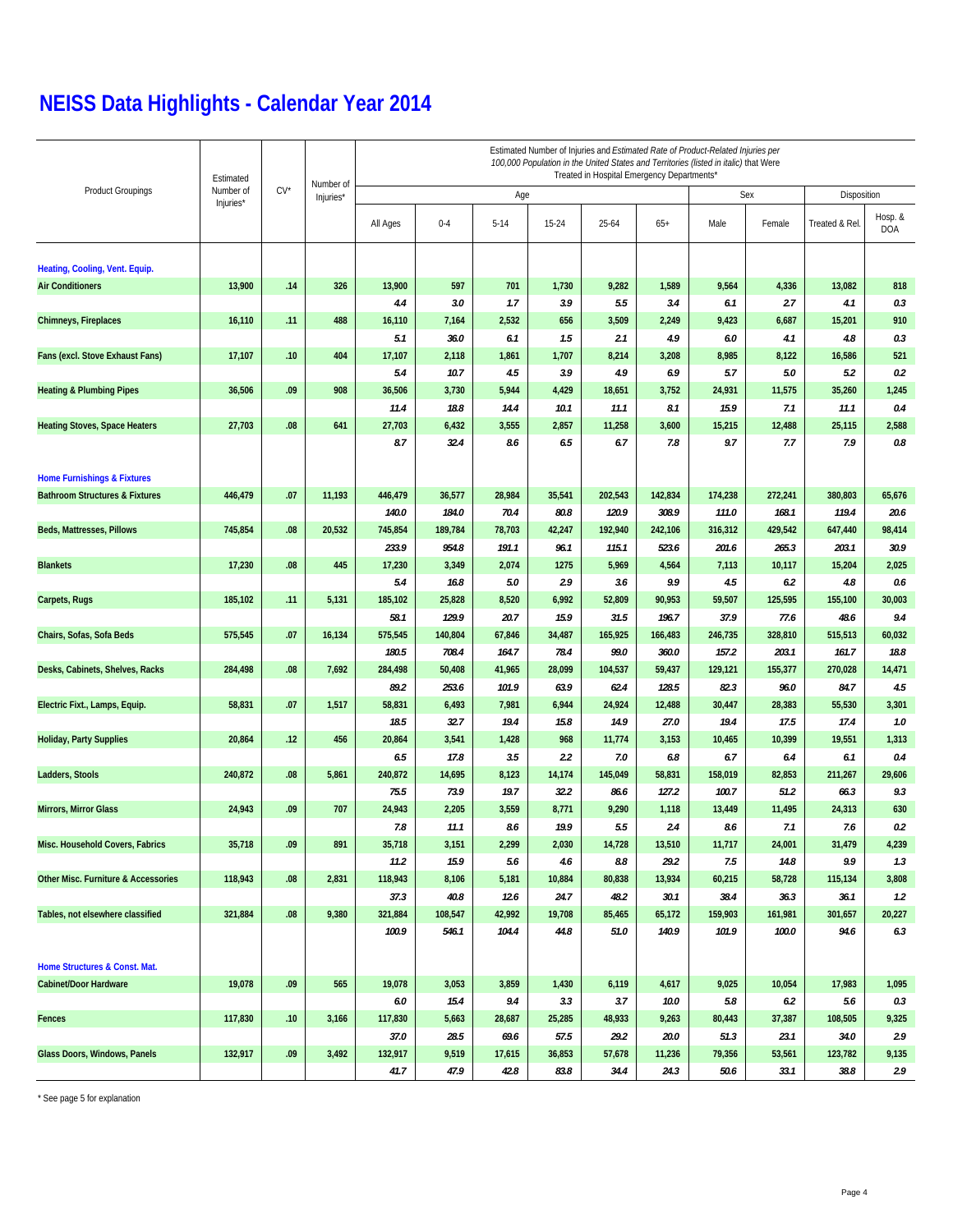|                                                | Estimated |        |                        | Estimated Number of Injuries and Estimated Rate of Product-Related Injuries per<br>100,000 Population in the United States and Territories (listed in italic) that Were<br>Treated in Hospital Emergency Departments* |         |          |           |         |         |         |             |               |                       |  |
|------------------------------------------------|-----------|--------|------------------------|-----------------------------------------------------------------------------------------------------------------------------------------------------------------------------------------------------------------------|---------|----------|-----------|---------|---------|---------|-------------|---------------|-----------------------|--|
| <b>Product Groupings</b>                       | Number of | $CV^*$ | Number of<br>Injuries* |                                                                                                                                                                                                                       |         | Age      | Sex       |         |         |         | Disposition |               |                       |  |
|                                                | Injuries* |        |                        | All Ages                                                                                                                                                                                                              | $0 - 4$ | $5 - 14$ | $15 - 24$ | 25-64   | $65+$   | Male    | Female      | Treated & Rel | Hosp. &<br><b>DOA</b> |  |
| Heating, Cooling, Vent. Equip.                 |           |        |                        |                                                                                                                                                                                                                       |         |          |           |         |         |         |             |               |                       |  |
| <b>Air Conditioners</b>                        | 13,900    | .14    | 326                    | 13,900                                                                                                                                                                                                                | 597     | 701      | 1,730     | 9,282   | 1,589   | 9,564   | 4,336       | 13,082        | 818                   |  |
|                                                |           |        |                        | 4.4                                                                                                                                                                                                                   | 3.0     | 1.7      | 3.9       | 5.5     | 3.4     | 6.1     | 2.7         | 4.1           | 0.3                   |  |
| Chimneys, Fireplaces                           | 16,110    | .11    | 488                    | 16,110                                                                                                                                                                                                                | 7,164   | 2,532    | 656       | 3,509   | 2,249   | 9,423   | 6,687       | 15,201        | 910                   |  |
|                                                |           |        |                        | 5.1                                                                                                                                                                                                                   | 36.0    | 6.1      | 1.5       | 2.1     | 4.9     | 6.0     | 4.1         | 4.8           | 0.3                   |  |
| Fans (excl. Stove Exhaust Fans)                | 17,107    | .10    | 404                    | 17,107                                                                                                                                                                                                                | 2,118   | 1,861    | 1,707     | 8,214   | 3,208   | 8,985   | 8,122       | 16,586        | 521                   |  |
|                                                |           |        |                        | 5.4                                                                                                                                                                                                                   | 10.7    | 4.5      | 3.9       | 4.9     | 6.9     | 5.7     | 5.0         | 5.2           | 0.2                   |  |
| <b>Heating &amp; Plumbing Pipes</b>            | 36,506    | .09    | 908                    | 36,506                                                                                                                                                                                                                | 3,730   | 5,944    | 4,429     | 18,651  | 3,752   | 24,931  | 11,575      | 35,260        | 1,245                 |  |
|                                                |           |        |                        | 11.4                                                                                                                                                                                                                  | 18.8    | 14.4     | 10.1      | 11.1    | 8.1     | 15.9    | 7.1         | 11.1          | 0.4                   |  |
| <b>Heating Stoves, Space Heaters</b>           | 27,703    | .08    | 641                    | 27,703                                                                                                                                                                                                                | 6,432   | 3,555    | 2,857     | 11,258  | 3,600   | 15,215  | 12,488      | 25,115        | 2,588                 |  |
|                                                |           |        |                        | 8.7                                                                                                                                                                                                                   | 32.4    | 8.6      | 6.5       | 6.7     | 7.8     | 9.7     | 7.7         | 7.9           | 0.8                   |  |
|                                                |           |        |                        |                                                                                                                                                                                                                       |         |          |           |         |         |         |             |               |                       |  |
| <b>Home Furnishings &amp; Fixtures</b>         |           |        |                        |                                                                                                                                                                                                                       |         |          |           |         |         |         |             |               |                       |  |
| <b>Bathroom Structures &amp; Fixtures</b>      | 446,479   | .07    | 11,193                 | 446,479                                                                                                                                                                                                               | 36,577  | 28,984   | 35,541    | 202,543 | 142,834 | 174,238 | 272,241     | 380,803       | 65,676                |  |
|                                                |           |        |                        | 140.0                                                                                                                                                                                                                 | 184.0   | 70.4     | 80.8      | 120.9   | 308.9   | 111.0   | 168.1       | 119.4         | 20.6                  |  |
| Beds, Mattresses, Pillows                      | 745,854   | .08    | 20,532                 | 745,854                                                                                                                                                                                                               | 189,784 | 78,703   | 42,247    | 192,940 | 242,106 | 316,312 | 429,542     | 647,440       | 98,414                |  |
|                                                |           |        |                        | 233.9                                                                                                                                                                                                                 | 954.8   | 191.1    | 96.1      | 115.1   | 523.6   | 201.6   | 265.3       | 203.1         | 30.9                  |  |
| <b>Blankets</b>                                | 17,230    | .08    | 445                    | 17,230                                                                                                                                                                                                                | 3,349   | 2,074    | 1275      | 5,969   | 4,564   | 7,113   | 10,117      | 15,204        | 2,025                 |  |
|                                                |           |        |                        | 5.4                                                                                                                                                                                                                   | 16.8    | 5.0      | 2.9       | 3.6     | 9.9     | 4.5     | 6.2         | 4.8           | 0.6                   |  |
| Carpets, Rugs                                  | 185,102   | .11    | 5,131                  | 185,102                                                                                                                                                                                                               | 25,828  | 8,520    | 6,992     | 52,809  | 90,953  | 59,507  | 125,595     | 155,100       | 30,003                |  |
|                                                |           |        |                        | 58.1                                                                                                                                                                                                                  | 129.9   | 20.7     | 15.9      | 31.5    | 196.7   | 37.9    | 77.6        | 48.6          | 9.4                   |  |
| Chairs, Sofas, Sofa Beds                       | 575,545   | .07    | 16,134                 | 575,545                                                                                                                                                                                                               | 140,804 | 67,846   | 34,487    | 165,925 | 166,483 | 246,735 | 328,810     | 515,513       | 60,032                |  |
|                                                |           |        |                        | 180.5                                                                                                                                                                                                                 | 708.4   | 164.7    | 78.4      | 99.0    | 360.0   | 157.2   | 203.1       | 161.7         | 18.8                  |  |
| Desks, Cabinets, Shelves, Racks                | 284,498   | .08    | 7,692                  | 284,498                                                                                                                                                                                                               | 50,408  | 41,965   | 28,099    | 104,537 | 59,437  | 129,121 | 155,377     | 270,028       | 14,471                |  |
|                                                |           |        |                        | 89.2                                                                                                                                                                                                                  | 253.6   | 101.9    | 63.9      | 62.4    | 128.5   | 82.3    | 96.0        | 84.7          | 4.5                   |  |
| Electric Fixt., Lamps, Equip.                  | 58,831    | .07    | 1,517                  | 58,831                                                                                                                                                                                                                | 6,493   | 7,981    | 6,944     | 24,924  | 12,488  | 30,447  | 28,383      | 55,530        | 3,301                 |  |
|                                                |           |        |                        | 18.5                                                                                                                                                                                                                  | 32.7    | 19.4     | 15.8      | 14.9    | 27.0    | 19.4    | 17.5        | 17.4          | 1.0                   |  |
| <b>Holiday, Party Supplies</b>                 | 20,864    | .12    | 456                    | 20,864                                                                                                                                                                                                                | 3,541   | 1,428    | 968       | 11,774  | 3,153   | 10,465  | 10,399      | 19,551        | 1,313                 |  |
|                                                |           |        |                        | 6.5                                                                                                                                                                                                                   | 17.8    | 3.5      | 2.2       | 7.0     | 6.8     | 6.7     | 6.4         | 6.1           | 0.4                   |  |
| Ladders, Stools                                | 240,872   | .08    | 5,861                  | 240,872                                                                                                                                                                                                               | 14,695  | 8,123    | 14,174    | 145,049 | 58,831  | 158,019 | 82,853      | 211,267       | 29,606                |  |
|                                                |           |        |                        | 75.5                                                                                                                                                                                                                  | 73.9    | 19.7     | 32.2      | 86.6    | 127.2   | 100.7   | 51.2        | 66.3          | 9.3                   |  |
| Mirrors, Mirror Glass                          | 24,943    | .09    | 707                    | 24,943                                                                                                                                                                                                                | 2,205   | 3,559    | 8,771     | 9,290   | 1,118   | 13,449  | 11,495      | 24,313        | 630                   |  |
|                                                |           |        |                        | 7.8                                                                                                                                                                                                                   | 11.1    | 8.6      | 19.9      | 5.5     | 2.4     | 8.6     | 7.1         | 7.6           | 0.2                   |  |
| Misc. Household Covers, Fabrics                | 35,718    | .09    | 891                    | 35,718                                                                                                                                                                                                                | 3,151   | 2,299    | 2,030     | 14,728  | 13,510  | 11,717  | 24,001      | 31,479        | 4,239                 |  |
|                                                |           |        |                        | 11.2                                                                                                                                                                                                                  | 15.9    | 5.6      | 4.6       | 8.8     | 29.2    | 7.5     | 14.8        | 9.9           | 1.3                   |  |
| <b>Other Misc. Furniture &amp; Accessories</b> | 118,943   | .08    | 2,831                  | 118,943                                                                                                                                                                                                               | 8,106   | 5,181    | 10,884    | 80,838  | 13,934  | 60,215  | 58,728      | 115,134       | 3,808                 |  |
|                                                |           |        |                        | 37.3                                                                                                                                                                                                                  | 40.8    | 12.6     | 24.7      | 48.2    | 30.1    | 38.4    | 36.3        | 36.1          | 1.2                   |  |
| Tables, not elsewhere classified               | 321,884   | .08    | 9,380                  | 321,884                                                                                                                                                                                                               | 108,547 | 42,992   | 19,708    | 85,465  | 65,172  | 159,903 | 161,981     | 301,657       | 20,227                |  |
|                                                |           |        |                        | 100.9                                                                                                                                                                                                                 | 546.1   | 104.4    | 44.8      | 51.0    | 140.9   | 101.9   | 100.0       | 94.6          | 6.3                   |  |
| Home Structures & Const. Mat.                  |           |        |                        |                                                                                                                                                                                                                       |         |          |           |         |         |         |             |               |                       |  |
| <b>Cabinet/Door Hardware</b>                   | 19,078    | .09    | 565                    | 19,078                                                                                                                                                                                                                | 3,053   | 3,859    | 1,430     | 6,119   | 4,617   | 9,025   | 10,054      | 17,983        | 1,095                 |  |
|                                                |           |        |                        | 6.0                                                                                                                                                                                                                   | 15.4    | 9.4      | 3.3       | 3.7     | 10.0    | 5.8     | 6.2         | 5.6           | 0.3                   |  |
| Fences                                         | 117,830   | .10    | 3,166                  | 117,830                                                                                                                                                                                                               | 5,663   | 28,687   | 25,285    | 48,933  | 9,263   | 80,443  | 37,387      | 108,505       | 9,325                 |  |
|                                                |           |        |                        | 37.0                                                                                                                                                                                                                  | 28.5    | 69.6     | 57.5      | 29.2    | 20.0    | 51.3    | 23.1        | 34.0          | 2.9                   |  |
| Glass Doors, Windows, Panels                   | 132,917   | .09    | 3,492                  | 132,917                                                                                                                                                                                                               | 9,519   | 17,615   | 36,853    | 57,678  | 11,236  | 79,356  | 53,561      | 123,782       | 9,135                 |  |
|                                                |           |        |                        | 41.7                                                                                                                                                                                                                  | 47.9    | 42.8     | 83.8      | 34.4    | 24.3    | 50.6    | 33.1        | 38.8          | 2.9                   |  |

\* See page 5 for explanation